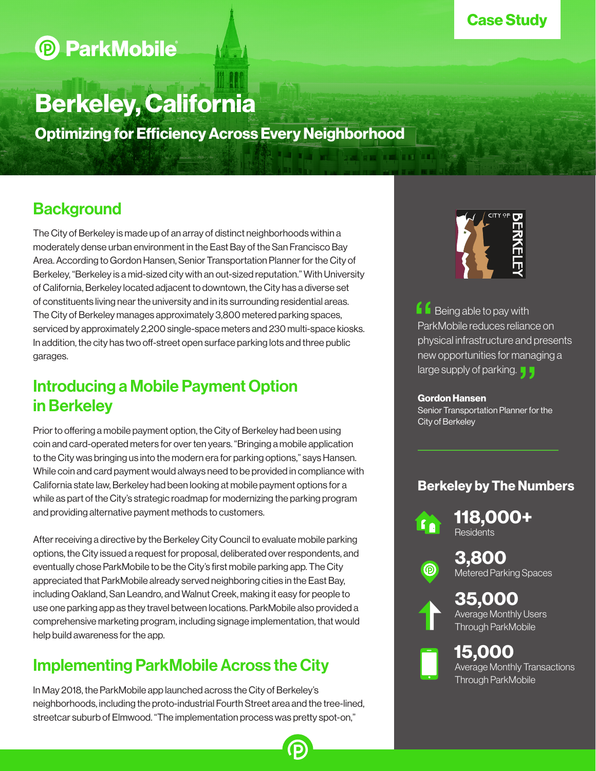### Case Study

# **D** ParkMobile

# Berkeley, California

Optimizing for Efficiency Across Every Neighborhood

## **Background**

The City of Berkeley is made up of an array of distinct neighborhoods within a moderately dense urban environment in the East Bay of the San Francisco Bay Area. According to Gordon Hansen, Senior Transportation Planner for the City of Berkeley, "Berkeley is a mid-sized city with an out-sized reputation." With University of California, Berkeley located adjacent to downtown, the City has a diverse set of constituents living near the university and in its surrounding residential areas. The City of Berkeley manages approximately 3,800 metered parking spaces, serviced by approximately 2,200 single-space meters and 230 multi-space kiosks. In addition, the city has two off-street open surface parking lots and three public garages.

### Introducing a Mobile Payment Option in Berkeley

Prior to offering a mobile payment option, the City of Berkeley had been using coin and card-operated meters for over ten years. "Bringing a mobile application to the City was bringing us into the modern era for parking options," says Hansen. While coin and card payment would always need to be provided in compliance with California state law, Berkeley had been looking at mobile payment options for a while as part of the City's strategic roadmap for modernizing the parking program and providing alternative payment methods to customers.

After receiving a directive by the Berkeley City Council to evaluate mobile parking options, the City issued a request for proposal, deliberated over respondents, and eventually chose ParkMobile to be the City's first mobile parking app. The City appreciated that ParkMobile already served neighboring cities in the East Bay, including Oakland, San Leandro, and Walnut Creek, making it easy for people to use one parking app as they travel between locations. ParkMobile also provided a comprehensive marketing program, including signage implementation, that would help build awareness for the app.

## Implementing ParkMobile Across the City

In May 2018, the ParkMobile app launched across the City of Berkeley's neighborhoods, including the proto-industrial Fourth Street area and the tree-lined, streetcar suburb of Elmwood. "The implementation process was pretty spot-on,"



 $\blacksquare$  Being able to pay with ParkMobile reduces reliance on physical infrastructure and presents new opportunities for managing a large supply of parking.  $\begin{array}{c}\n 6 \\
 \text{Par} \\
 \text{phy} \\
 \text{new} \\
 \end{array}$ nd pre<br>anagir<br>**J J** 

#### Gordon Hansen

Senior Transportation Planner for the City of Berkeley

### Berkeley by The Numbers

**118,000+** Residents

**3,800**<br>
Metered Parking Spaces



**35,000**<br>Average Monthly Users Through ParkMobile

# **15,000**<br>Average Monthly Transactions Through ParkMobile